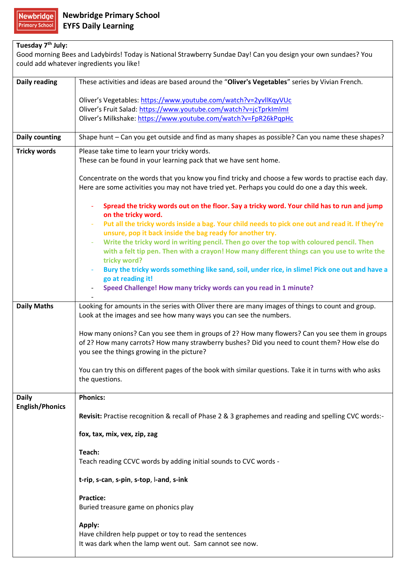| Tuesday 7 <sup>th</sup> July:                                                                                  |                                                                                                                                       |  |
|----------------------------------------------------------------------------------------------------------------|---------------------------------------------------------------------------------------------------------------------------------------|--|
| Good morning Bees and Ladybirds! Today is National Strawberry Sundae Day! Can you design your own sundaes? You |                                                                                                                                       |  |
|                                                                                                                | could add whatever ingredients you like!                                                                                              |  |
|                                                                                                                |                                                                                                                                       |  |
| <b>Daily reading</b>                                                                                           | These activities and ideas are based around the "Oliver's Vegetables" series by Vivian French.                                        |  |
|                                                                                                                |                                                                                                                                       |  |
|                                                                                                                | Oliver's Vegetables: https://www.youtube.com/watch?v=2yvllKqyVUc<br>Oliver's Fruit Salad: https://www.youtube.com/watch?v=jcTprkImlml |  |
|                                                                                                                | Oliver's Milkshake: https://www.youtube.com/watch?v=FpR26kPqpHc                                                                       |  |
|                                                                                                                |                                                                                                                                       |  |
| <b>Daily counting</b>                                                                                          | Shape hunt - Can you get outside and find as many shapes as possible? Can you name these shapes?                                      |  |
| <b>Tricky words</b>                                                                                            | Please take time to learn your tricky words.                                                                                          |  |
|                                                                                                                | These can be found in your learning pack that we have sent home.                                                                      |  |
|                                                                                                                |                                                                                                                                       |  |
|                                                                                                                | Concentrate on the words that you know you find tricky and choose a few words to practise each day.                                   |  |
|                                                                                                                | Here are some activities you may not have tried yet. Perhaps you could do one a day this week.                                        |  |
|                                                                                                                | Spread the tricky words out on the floor. Say a tricky word. Your child has to run and jump                                           |  |
|                                                                                                                | on the tricky word.                                                                                                                   |  |
|                                                                                                                | Put all the tricky words inside a bag. Your child needs to pick one out and read it. If they're                                       |  |
|                                                                                                                | unsure, pop it back inside the bag ready for another try.                                                                             |  |
|                                                                                                                | Write the tricky word in writing pencil. Then go over the top with coloured pencil. Then<br>$\overline{\phantom{a}}$                  |  |
|                                                                                                                | with a felt tip pen. Then with a crayon! How many different things can you use to write the                                           |  |
|                                                                                                                | tricky word?                                                                                                                          |  |
|                                                                                                                | Bury the tricky words something like sand, soil, under rice, in slime! Pick one out and have a                                        |  |
|                                                                                                                | go at reading it!                                                                                                                     |  |
|                                                                                                                | Speed Challenge! How many tricky words can you read in 1 minute?                                                                      |  |
| <b>Daily Maths</b>                                                                                             | Looking for amounts in the series with Oliver there are many images of things to count and group.                                     |  |
|                                                                                                                | Look at the images and see how many ways you can see the numbers.                                                                     |  |
|                                                                                                                |                                                                                                                                       |  |
|                                                                                                                | How many onions? Can you see them in groups of 2? How many flowers? Can you see them in groups                                        |  |
|                                                                                                                | of 2? How many carrots? How many strawberry bushes? Did you need to count them? How else do                                           |  |
|                                                                                                                | you see the things growing in the picture?                                                                                            |  |
|                                                                                                                |                                                                                                                                       |  |
|                                                                                                                | You can try this on different pages of the book with similar questions. Take it in turns with who asks                                |  |
|                                                                                                                | the questions.                                                                                                                        |  |
| <b>Daily</b>                                                                                                   | <b>Phonics:</b>                                                                                                                       |  |
| <b>English/Phonics</b>                                                                                         |                                                                                                                                       |  |
|                                                                                                                | Revisit: Practise recognition & recall of Phase 2 & 3 graphemes and reading and spelling CVC words:-                                  |  |
|                                                                                                                |                                                                                                                                       |  |
|                                                                                                                | fox, tax, mix, vex, zip, zag                                                                                                          |  |
|                                                                                                                | Teach:                                                                                                                                |  |
|                                                                                                                | Teach reading CCVC words by adding initial sounds to CVC words -                                                                      |  |
|                                                                                                                |                                                                                                                                       |  |
|                                                                                                                | t-rip, s-can, s-pin, s-top, l-and, s-ink                                                                                              |  |
|                                                                                                                | <b>Practice:</b>                                                                                                                      |  |
|                                                                                                                | Buried treasure game on phonics play                                                                                                  |  |
|                                                                                                                |                                                                                                                                       |  |
|                                                                                                                | Apply:                                                                                                                                |  |
|                                                                                                                | Have children help puppet or toy to read the sentences                                                                                |  |
|                                                                                                                | It was dark when the lamp went out. Sam cannot see now.                                                                               |  |
|                                                                                                                |                                                                                                                                       |  |